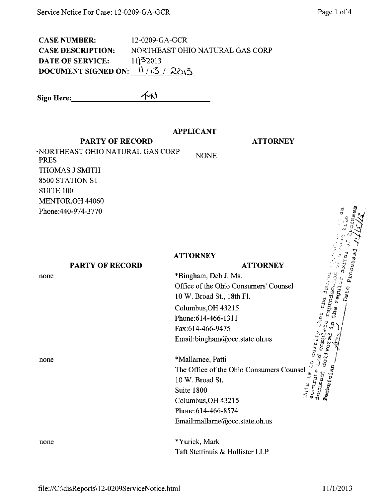CASE NUMBER: 12-0209-GA-GCR CASE DESCRIPTION: NORTHEAST OHIO NATURAL GAS CORP DATE OF SERVICE: 11\\\ 3'2013 DOCUMENT SIGNED ON:  $\frac{11}{13}$  /  $\frac{20}{5}$ 

Sign Here:  $\left\langle \gamma \right\rangle$ 

## APPLICANT

NONE

PARTY OF RECORD

ATTORNEY

'NORTHEAST OHIO NATURAL GAS CORP PRES THOMAS J SMITH 8500 STATION ST SUITE 100 MENTOR,OH 44060 Phone:440-974-3770

PARTY OF RECORD

## **ATTORNEY**

\*Bingham, Deb J. Ms. Office of the Ohio Consumers' Counsel 10 W. Broad St., 18th Fl. Columbus,OH 43215 Phone:614-466-1311 Fax:614-466-9475 Email ;bingham@occ. state, oh.us

\*Mallamee, Patti Email:bingham@occ.state.oh.us<br>
\*Mallarnee, Patti<br>
The Office of the Ohio Consumers Counsel<br>  $\frac{a}{a}$ <br>  $\frac{b}{b}$ <br>  $\frac{c}{c}$ <br>  $\frac{10 \text{ W}}{c}$  Prood St. 10 W. Broad St. Suite 1800 Columbus,OH 43215 Phone:614-466-8574 Email:[mallame@occ.state.oh.us](mailto:mallame@occ.state.oh.us)  ਾ ਪਿੱ ਸਿੰ  $\lq$   $\lq$   $\lq$   $\lq$   $\lq$ 

\* Yurick, Mark Taft Stettinuis & Hollister LLP

none

none

none

Processod

Date.

 $\frac{c_{\rm tot}}{c_{\rm n}}$  the  $_1$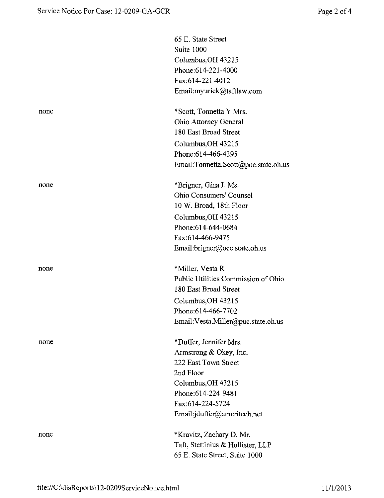|      | 65 E. State Street<br>Suite 1000<br>Columbus, OH 43215<br>Phone: 614-221-4000<br>Fax:614-221-4012<br>Email:myurick@taftlaw.com                                                        |
|------|---------------------------------------------------------------------------------------------------------------------------------------------------------------------------------------|
| none | *Scott, Tonnetta Y Mrs.<br>Ohio Attorney General<br>180 East Broad Street<br>Columbus, OH 43215<br>Phone: 614-466-4395<br>Email:Tonnetta.Scott@puc.state.oh.us                        |
| none | *Brigner, Gina L Ms.<br><b>Ohio Consumers' Counsel</b><br>10 W. Broad, 18th Floor<br>Columbus, OH 43215<br>Phone:614-644-0684<br>Fax:614-466-9475<br>Email:brigner@occ.state.oh.us    |
| none | *Miller, Vesta R<br>Public Utilities Commission of Ohio<br>180 East Broad Street<br>Columbus, OH 43215<br>Phone:614-466-7702<br>Email: Vesta. Miller@puc.state.oh.us                  |
| none | *Duffer, Jennifer Mrs.<br>Armstrong & Okey, Inc.<br>222 East Town Street<br>2nd Floor<br>Columbus, OH 43215<br>Phone: 614-224-9481<br>Fax:614-224-5724<br>Email:jduffer@ameritech.net |
| none | *Kravitz, Zachary D. Mr.<br>Taft, Stettinius & Hollister, LLP<br>65 E. State Street, Suite 1000                                                                                       |
|      |                                                                                                                                                                                       |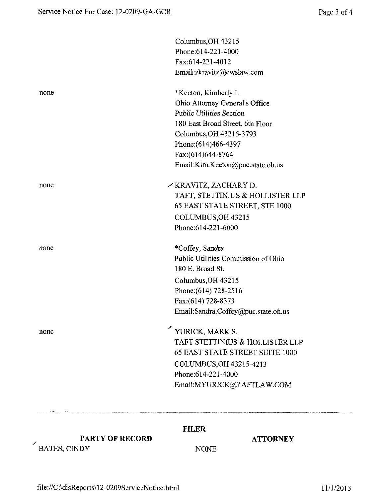|      | Columbus OH 43215                      |
|------|----------------------------------------|
|      | Phone: 614-221-4000                    |
|      | Fax:614-221-4012                       |
|      | Email:zkravitz@cwslaw.com              |
| none | *Keeton, Kimberly L                    |
|      | Ohio Attorney General's Office         |
|      | <b>Public Utilities Section</b>        |
|      | 180 East Broad Street, 6th Floor       |
|      | Columbus OH 43215-3793                 |
|      | Phone: (614) 466-4397                  |
|      | Fax: (614) 644-8764                    |
|      | Email:Kim.Keeton@puc.state.oh.us       |
| none | /KRAVITZ, ZACHARY D.                   |
|      | TAFT, STETTINIUS & HOLLISTER LLP       |
|      | 65 EAST STATE STREET, STE 1000         |
|      | COLUMBUS, OH 43215                     |
|      | Phone: 614-221-6000                    |
| none | *Coffey, Sandra                        |
|      | Public Utilities Commission of Ohio    |
|      | 180 E. Broad St.                       |
|      | Columbus, OH 43215                     |
|      | Phone: (614) 728-2516                  |
|      | Fax:(614) 728-8373                     |
|      | Email:Sandra.Coffey@puc.state.oh.us    |
| none | YURICK, MARK S.                        |
|      | TAFT STETTINIUS & HOLLISTER LLP        |
|      | <b>65 EAST STATE STREET SUITE 1000</b> |
|      | COLUMBUS, OH 43215-4213                |
|      | Phone: 614-221-4000                    |
|      | Email:MYURICK@TAFTLAW.COM              |
|      |                                        |

## FILER

PARTY OF RECORD

**ATTORNEY** 

NONE